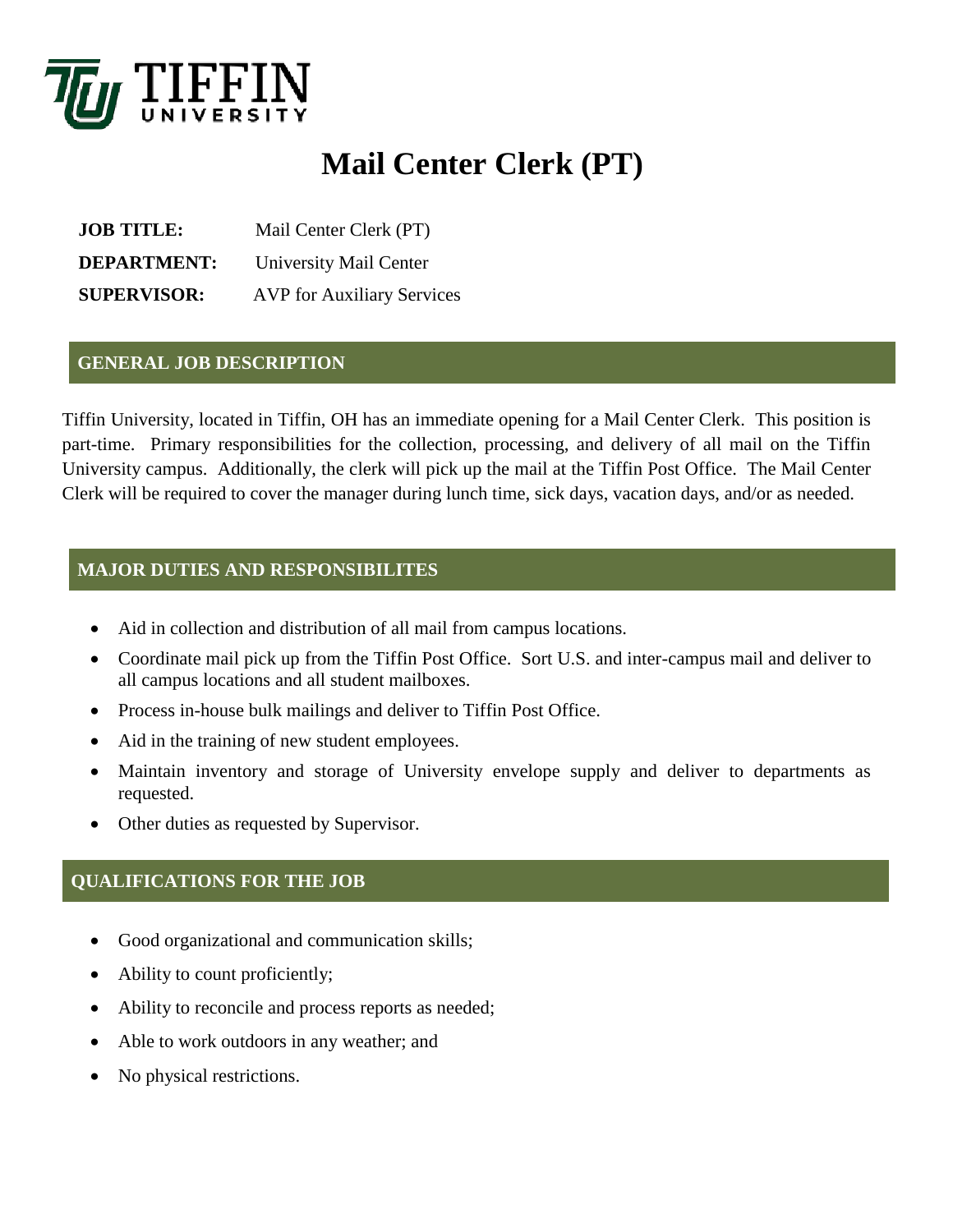

# **Mail Center Clerk (PT)**

**JOB TITLE:** Mail Center Clerk (PT) **DEPARTMENT:** University Mail Center **SUPERVISOR:** AVP for Auxiliary Services

#### **GENERAL JOB DESCRIPTION**

Tiffin University, located in Tiffin, OH has an immediate opening for a Mail Center Clerk. This position is part-time. Primary responsibilities for the collection, processing, and delivery of all mail on the Tiffin University campus. Additionally, the clerk will pick up the mail at the Tiffin Post Office. The Mail Center Clerk will be required to cover the manager during lunch time, sick days, vacation days, and/or as needed.

#### **MAJOR DUTIES AND RESPONSIBILITES**

- Aid in collection and distribution of all mail from campus locations.
- Coordinate mail pick up from the Tiffin Post Office. Sort U.S. and inter-campus mail and deliver to all campus locations and all student mailboxes.
- Process in-house bulk mailings and deliver to Tiffin Post Office.
- Aid in the training of new student employees.
- Maintain inventory and storage of University envelope supply and deliver to departments as requested.
- Other duties as requested by Supervisor.

## **QUALIFICATIONS FOR THE JOB**

- Good organizational and communication skills;
- Ability to count proficiently;
- Ability to reconcile and process reports as needed;
- Able to work outdoors in any weather; and
- No physical restrictions.